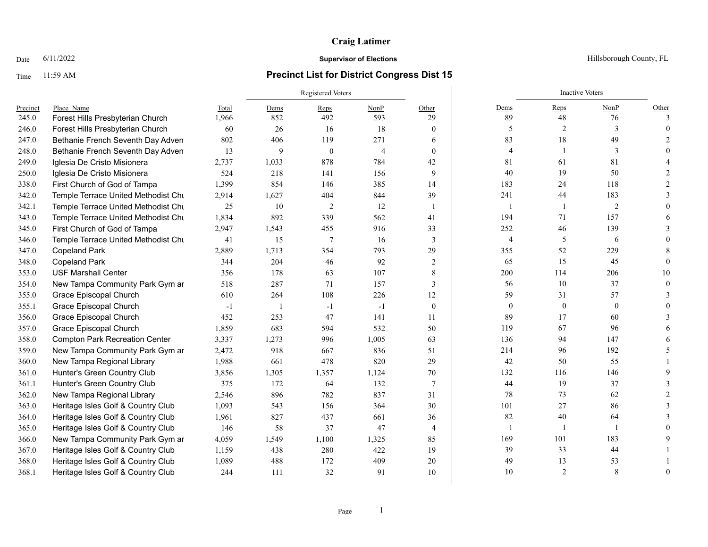# Time 11:59 AM **Precinct List for District Congress Dist 15**

|          |                                       |       |                | Registered Voters |                |                          | <b>Inactive Voters</b> |                |                |              |
|----------|---------------------------------------|-------|----------------|-------------------|----------------|--------------------------|------------------------|----------------|----------------|--------------|
| Precinct | Place Name                            | Total | Dems           | Reps              | NonP           | Other                    | Dems                   | Reps           | NonP           | Other        |
| 245.0    | Forest Hills Presbyterian Church      | 1,966 | 852            | 492               | 593            | 29                       | 89                     | 48             | 76             | $\mathbf{3}$ |
| 246.0    | Forest Hills Presbyterian Church      | 60    | 26             | 16                | 18             | $\mathbf{0}$             | 5                      | 2              | 3              |              |
| 247.0    | Bethanie French Seventh Day Adven     | 802   | 406            | 119               | 271            | 6                        | 83                     | 18             | 49             |              |
| 248.0    | Bethanie French Seventh Day Adven     | 13    | 9              | $\mathbf{0}$      | $\overline{4}$ | $\mathbf{0}$             | $\overline{4}$         |                | 3              |              |
| 249.0    | Iglesia De Cristo Misionera           | 2,737 | 1,033          | 878               | 784            | 42                       | 81                     | 61             | 81             |              |
| 250.0    | Iglesia De Cristo Misionera           | 524   | 218            | 141               | 156            | 9                        | 40                     | 19             | 50             |              |
| 338.0    | First Church of God of Tampa          | 1,399 | 854            | 146               | 385            | 14                       | 183                    | 24             | 118            |              |
| 342.0    | Temple Terrace United Methodist Chu   | 2,914 | 1,627          | 404               | 844            | 39                       | 241                    | 44             | 183            |              |
| 342.1    | Temple Terrace United Methodist Chu   | 25    | 10             | 2                 | 12             | $\overline{\phantom{a}}$ | $\mathbf{1}$           | $\mathbf{1}$   | $\overline{2}$ |              |
| 343.0    | Temple Terrace United Methodist Chu   | 1,834 | 892            | 339               | 562            | 41                       | 194                    | 71             | 157            |              |
| 345.0    | First Church of God of Tampa          | 2,947 | 1,543          | 455               | 916            | 33                       | 252                    | 46             | 139            |              |
| 346.0    | Temple Terrace United Methodist Chu   | 41    | 15             | $\overline{7}$    | 16             | 3                        | $\overline{4}$         | 5              | 6              |              |
| 347.0    | <b>Copeland Park</b>                  | 2,889 | 1,713          | 354               | 793            | 29                       | 355                    | 52             | 229            |              |
| 348.0    | <b>Copeland Park</b>                  | 344   | 204            | 46                | 92             | $\overline{c}$           | 65                     | 15             | 45             |              |
| 353.0    | <b>USF Marshall Center</b>            | 356   | 178            | 63                | 107            | $\,8\,$                  | 200                    | 114            | 206            | 10           |
| 354.0    | New Tampa Community Park Gym ar       | 518   | 287            | 71                | 157            | 3                        | 56                     | 10             | 37             |              |
| 355.0    | Grace Episcopal Church                | 610   | 264            | 108               | 226            | 12                       | 59                     | 31             | 57             |              |
| 355.1    | Grace Episcopal Church                | $-1$  | $\overline{1}$ | $-1$              | $-1$           | $\theta$                 | $\mathbf{0}$           | $\mathbf{0}$   | $\overline{0}$ |              |
| 356.0    | Grace Episcopal Church                | 452   | 253            | 47                | 141            | 11                       | 89                     | 17             | 60             |              |
| 357.0    | Grace Episcopal Church                | 1,859 | 683            | 594               | 532            | 50                       | 119                    | 67             | 96             |              |
| 358.0    | <b>Compton Park Recreation Center</b> | 3,337 | 1,273          | 996               | 1,005          | 63                       | 136                    | 94             | 147            |              |
| 359.0    | New Tampa Community Park Gym ar       | 2,472 | 918            | 667               | 836            | 51                       | 214                    | 96             | 192            |              |
| 360.0    | New Tampa Regional Library            | 1,988 | 661            | 478               | 820            | 29                       | 42                     | 50             | 55             |              |
| 361.0    | Hunter's Green Country Club           | 3,856 | 1,305          | 1,357             | 1,124          | 70                       | 132                    | 116            | 146            |              |
| 361.1    | Hunter's Green Country Club           | 375   | 172            | 64                | 132            | $7\phantom{.0}$          | 44                     | 19             | 37             |              |
| 362.0    | New Tampa Regional Library            | 2,546 | 896            | 782               | 837            | 31                       | 78                     | 73             | 62             |              |
| 363.0    | Heritage Isles Golf & Country Club    | 1,093 | 543            | 156               | 364            | 30                       | 101                    | 27             | 86             |              |
| 364.0    | Heritage Isles Golf & Country Club    | 1,961 | 827            | 437               | 661            | 36                       | 82                     | $40\,$         | 64             |              |
| 365.0    | Heritage Isles Golf & Country Club    | 146   | 58             | 37                | 47             | 4                        | $\mathbf{1}$           |                |                |              |
| 366.0    | New Tampa Community Park Gym ar       | 4,059 | 1,549          | 1,100             | 1,325          | 85                       | 169                    | 101            | 183            |              |
| 367.0    | Heritage Isles Golf & Country Club    | 1,159 | 438            | 280               | 422            | 19                       | 39                     | 33             | 44             |              |
| 368.0    | Heritage Isles Golf & Country Club    | 1,089 | 488            | 172               | 409            | 20                       | 49                     | 13             | 53             |              |
| 368.1    | Heritage Isles Golf & Country Club    | 244   | 111            | 32                | 91             | 10                       | 10                     | $\overline{2}$ | 8              |              |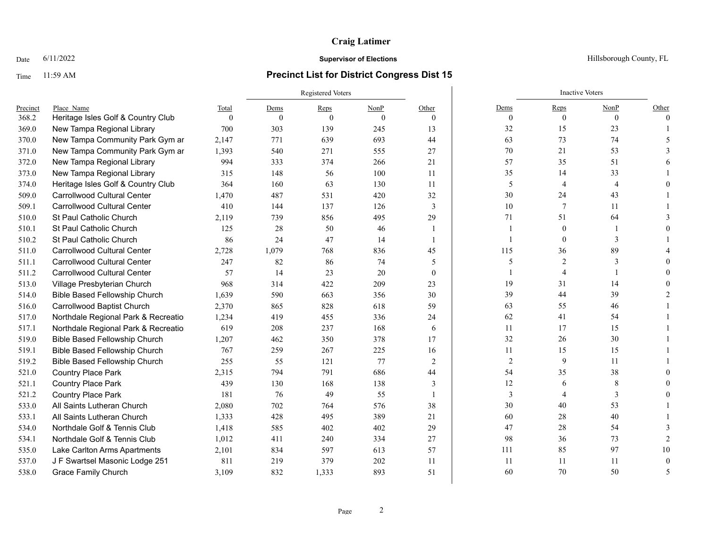## Time 11:59 AM **Precinct List for District Congress Dist 15**

|          |                                      |          | <b>Registered Voters</b> |          |          |                |            | <b>Inactive Voters</b> |                |          |
|----------|--------------------------------------|----------|--------------------------|----------|----------|----------------|------------|------------------------|----------------|----------|
| Precinct | Place Name                           | Total    | Dems                     | Reps     | NonP     | Other          | Dems       | Reps                   | NonP           | Other    |
| 368.2    | Heritage Isles Golf & Country Club   | $\theta$ | $\Omega$                 | $\Omega$ | $\Omega$ | $\theta$       | $\theta$   | $\mathbf{0}$           | $\theta$       | $\Omega$ |
| 369.0    | New Tampa Regional Library           | 700      | 303                      | 139      | 245      | 13             | 32         | 15                     | 23             |          |
| 370.0    | New Tampa Community Park Gym ar      | 2,147    | 771                      | 639      | 693      | 44             | 63         | 73                     | 74             |          |
| 371.0    | New Tampa Community Park Gym ar      | 1,393    | 540                      | 271      | 555      | 27             | 70         | 21                     | 53             |          |
| 372.0    | New Tampa Regional Library           | 994      | 333                      | 374      | 266      | 21             | 57         | 35                     | 51             |          |
| 373.0    | New Tampa Regional Library           | 315      | 148                      | 56       | 100      | 11             | 35         | 14                     | 33             |          |
| 374.0    | Heritage Isles Golf & Country Club   | 364      | 160                      | 63       | 130      | 11             | 5          | $\overline{4}$         | $\overline{4}$ |          |
| 509.0    | Carrollwood Cultural Center          | 1,470    | 487                      | 531      | 420      | 32             | $30\,$     | 24                     | 43             |          |
| 509.1    | <b>Carrollwood Cultural Center</b>   | 410      | 144                      | 137      | 126      | 3              | 10         | 7                      | 11             |          |
| 510.0    | <b>St Paul Catholic Church</b>       | 2,119    | 739                      | 856      | 495      | 29             | 71         | 51                     | 64             |          |
| 510.1    | <b>St Paul Catholic Church</b>       | 125      | 28                       | 50       | 46       | -1             |            | $\mathbf{0}$           |                |          |
| 510.2    | <b>St Paul Catholic Church</b>       | 86       | 24                       | 47       | 14       | $\overline{1}$ |            | $\mathbf{0}$           | 3              |          |
| 511.0    | <b>Carrollwood Cultural Center</b>   | 2,728    | 1,079                    | 768      | 836      | 45             | 115        | 36                     | 89             |          |
| 511.1    | <b>Carrollwood Cultural Center</b>   | 247      | 82                       | 86       | 74       | 5              | 5          | 2                      | 3              |          |
| 511.2    | <b>Carrollwood Cultural Center</b>   | 57       | 14                       | 23       | 20       | $\theta$       |            | $\overline{A}$         |                |          |
| 513.0    | Village Presbyterian Church          | 968      | 314                      | 422      | 209      | 23             | 19         | 31                     | 14             |          |
| 514.0    | Bible Based Fellowship Church        | 1,639    | 590                      | 663      | 356      | 30             | 39         | 44                     | 39             |          |
| 516.0    | Carrollwood Baptist Church           | 2,370    | 865                      | 828      | 618      | 59             | 63         | 55                     | 46             |          |
| 517.0    | Northdale Regional Park & Recreatio  | 1,234    | 419                      | 455      | 336      | 24             | 62         | 41                     | 54             |          |
| 517.1    | Northdale Regional Park & Recreatio  | 619      | 208                      | 237      | 168      | 6              | 11         | 17                     | 15             |          |
| 519.0    | <b>Bible Based Fellowship Church</b> | 1,207    | 462                      | 350      | 378      | 17             | 32         | 26                     | 30             |          |
| 519.1    | <b>Bible Based Fellowship Church</b> | 767      | 259                      | 267      | 225      | 16             | 11         | 15                     | 15             |          |
| 519.2    | Bible Based Fellowship Church        | 255      | 55                       | 121      | 77       | 2              | $\sqrt{2}$ | 9                      | 11             |          |
| 521.0    | <b>Country Place Park</b>            | 2,315    | 794                      | 791      | 686      | 44             | 54         | 35                     | 38             |          |
| 521.1    | <b>Country Place Park</b>            | 439      | 130                      | 168      | 138      | 3              | 12         | 6                      | 8              |          |
| 521.2    | <b>Country Place Park</b>            | 181      | 76                       | 49       | 55       |                | 3          |                        | 3              |          |
| 533.0    | All Saints Lutheran Church           | 2,080    | 702                      | 764      | 576      | 38             | 30         | 40                     | 53             |          |
| 533.1    | All Saints Lutheran Church           | 1,333    | 428                      | 495      | 389      | 21             | 60         | 28                     | 40             |          |
| 534.0    | Northdale Golf & Tennis Club         | 1,418    | 585                      | 402      | 402      | 29             | 47         | 28                     | 54             |          |
| 534.1    | Northdale Golf & Tennis Club         | 1,012    | 411                      | 240      | 334      | 27             | 98         | 36                     | 73             |          |
| 535.0    | Lake Carlton Arms Apartments         | 2,101    | 834                      | 597      | 613      | 57             | 111        | 85                     | 97             | 10       |
| 537.0    | J F Swartsel Masonic Lodge 251       | 811      | 219                      | 379      | 202      | 11             | 11         | 11                     | 11             |          |
| 538.0    | <b>Grace Family Church</b>           | 3.109    | 832                      | 1,333    | 893      | 51             | 60         | 70                     | 50             |          |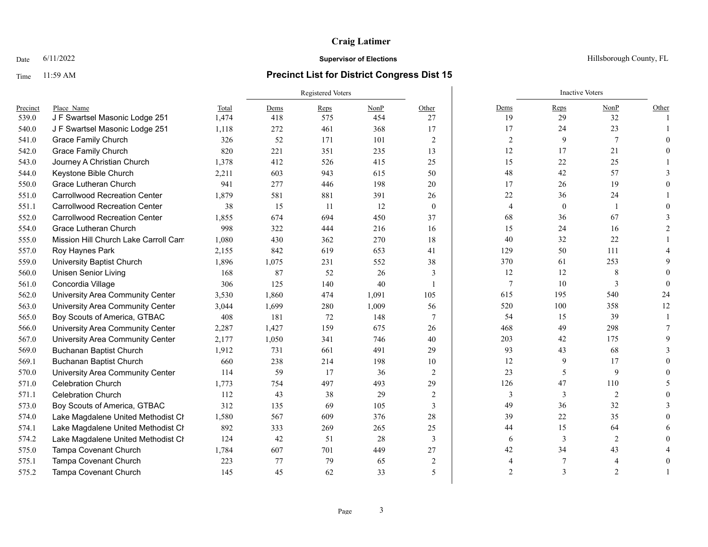## Time 11:59 AM **Precinct List for District Congress Dist 15**

|          |                                      |       |       | <b>Registered Voters</b> |       |                          |                | <b>Inactive Voters</b> |                |       |
|----------|--------------------------------------|-------|-------|--------------------------|-------|--------------------------|----------------|------------------------|----------------|-------|
| Precinct | Place Name                           | Total | Dems  | Reps                     | NonP  | Other                    | Dems           | Reps                   | NonP           | Other |
| 539.0    | J F Swartsel Masonic Lodge 251       | 1,474 | 418   | 575                      | 454   | 27                       | 19             | 29                     | 32             |       |
| 540.0    | J F Swartsel Masonic Lodge 251       | 1,118 | 272   | 461                      | 368   | 17                       | 17             | 24                     | 23             |       |
| 541.0    | <b>Grace Family Church</b>           | 326   | 52    | 171                      | 101   | 2                        | 2              | 9                      | 7              |       |
| 542.0    | <b>Grace Family Church</b>           | 820   | 221   | 351                      | 235   | 13                       | 12             | 17                     | 21             |       |
| 543.0    | Journey A Christian Church           | 1,378 | 412   | 526                      | 415   | 25                       | 15             | 22                     | 25             |       |
| 544.0    | Keystone Bible Church                | 2,211 | 603   | 943                      | 615   | 50                       | 48             | 42                     | 57             |       |
| 550.0    | Grace Lutheran Church                | 941   | 277   | 446                      | 198   | 20                       | 17             | 26                     | 19             |       |
| 551.0    | <b>Carrollwood Recreation Center</b> | 1,879 | 581   | 881                      | 391   | 26                       | $22\,$         | 36                     | 24             |       |
| 551.1    | <b>Carrollwood Recreation Center</b> | 38    | 15    | 11                       | 12    | $\overline{0}$           | 4              | $\mathbf{0}$           |                |       |
| 552.0    | <b>Carrollwood Recreation Center</b> | 1,855 | 674   | 694                      | 450   | 37                       | 68             | 36                     | 67             |       |
| 554.0    | Grace Lutheran Church                | 998   | 322   | 444                      | 216   | 16                       | 15             | 24                     | 16             |       |
| 555.0    | Mission Hill Church Lake Carroll Cam | 1,080 | 430   | 362                      | 270   | 18                       | 40             | 32                     | 22             |       |
| 557.0    | Roy Haynes Park                      | 2,155 | 842   | 619                      | 653   | 41                       | 129            | 50                     | 111            |       |
| 559.0    | University Baptist Church            | 1,896 | 1,075 | 231                      | 552   | 38                       | 370            | 61                     | 253            |       |
| 560.0    | <b>Unisen Senior Living</b>          | 168   | 87    | 52                       | 26    | 3                        | 12             | 12                     | 8              |       |
| 561.0    | Concordia Village                    | 306   | 125   | 140                      | 40    |                          | 7              | 10                     | 3              |       |
| 562.0    | University Area Community Center     | 3,530 | 1,860 | 474                      | 1,091 | 105                      | 615            | 195                    | 540            | 24    |
| 563.0    | University Area Community Center     | 3,044 | 1,699 | 280                      | 1,009 | 56                       | 520            | 100                    | 358            | 12    |
| 565.0    | Boy Scouts of America, GTBAC         | 408   | 181   | 72                       | 148   | $\tau$                   | 54             | 15                     | 39             |       |
| 566.0    | University Area Community Center     | 2,287 | 1,427 | 159                      | 675   | 26                       | 468            | 49                     | 298            |       |
| 567.0    | University Area Community Center     | 2,177 | 1,050 | 341                      | 746   | 40                       | 203            | 42                     | 175            |       |
| 569.0    | <b>Buchanan Baptist Church</b>       | 1,912 | 731   | 661                      | 491   | 29                       | 93             | 43                     | 68             |       |
| 569.1    | <b>Buchanan Baptist Church</b>       | 660   | 238   | 214                      | 198   | 10                       | 12             | 9                      | 17             |       |
| 570.0    | University Area Community Center     | 114   | 59    | 17                       | 36    | $\overline{2}$           | 23             | 5                      | 9              |       |
| 571.0    | <b>Celebration Church</b>            | 1,773 | 754   | 497                      | 493   | 29                       | 126            | 47                     | 110            |       |
| 571.1    | <b>Celebration Church</b>            | 112   | 43    | 38                       | 29    | 2                        | 3              | 3                      | $\overline{2}$ |       |
| 573.0    | Boy Scouts of America, GTBAC         | 312   | 135   | 69                       | 105   | 3                        | 49             | 36                     | 32             |       |
| 574.0    | Lake Magdalene United Methodist Cr   | 1,580 | 567   | 609                      | 376   | 28                       | 39             | 22                     | 35             |       |
| 574.1    | Lake Magdalene United Methodist Ch   | 892   | 333   | 269                      | 265   | 25                       | 44             | 15                     | 64             |       |
| 574.2    | Lake Magdalene United Methodist Cr   | 124   | 42    | 51                       | 28    | 3                        | 6              | 3                      | $\overline{2}$ |       |
| 575.0    | Tampa Covenant Church                | 1,784 | 607   | 701                      | 449   | 27                       | 42             | 34                     | 43             |       |
| 575.1    | Tampa Covenant Church                | 223   | 77    | 79                       | 65    | $\overline{c}$           |                |                        |                |       |
| 575.2    | Tampa Covenant Church                | 145   | 45    | 62                       | 33    | $\overline{\phantom{0}}$ | $\overline{2}$ | $\mathcal{R}$          | $\overline{2}$ |       |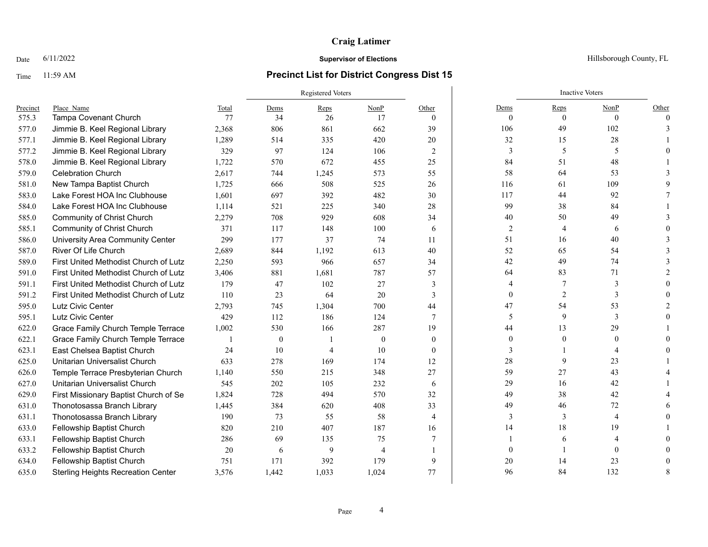# Time 11:59 AM **Precinct List for District Congress Dist 15**

|          |                                           |       |              | <b>Registered Voters</b> |                |                 |              | <b>Inactive Voters</b> |                |          |
|----------|-------------------------------------------|-------|--------------|--------------------------|----------------|-----------------|--------------|------------------------|----------------|----------|
| Precinct | Place Name                                | Total | Dems         | Reps                     | NonP           | Other           | Dems         | Reps                   | NonP           | Other    |
| 575.3    | <b>Tampa Covenant Church</b>              | 77    | 34           | 26                       | 17             | $\theta$        | $\Omega$     | $\theta$               | $\theta$       | $\Omega$ |
| 577.0    | Jimmie B. Keel Regional Library           | 2,368 | 806          | 861                      | 662            | 39              | 106          | 49                     | 102            |          |
| 577.1    | Jimmie B. Keel Regional Library           | 1,289 | 514          | 335                      | 420            | 20              | 32           | 15                     | 28             |          |
| 577.2    | Jimmie B. Keel Regional Library           | 329   | 97           | 124                      | 106            | $\overline{2}$  | 3            | 5                      | 5              |          |
| 578.0    | Jimmie B. Keel Regional Library           | 1,722 | 570          | 672                      | 455            | 25              | 84           | 51                     | 48             |          |
| 579.0    | <b>Celebration Church</b>                 | 2,617 | 744          | 1,245                    | 573            | 55              | 58           | 64                     | 53             |          |
| 581.0    | New Tampa Baptist Church                  | 1,725 | 666          | 508                      | 525            | 26              | 116          | 61                     | 109            |          |
| 583.0    | Lake Forest HOA Inc Clubhouse             | 1,601 | 697          | 392                      | 482            | 30              | 117          | 44                     | 92             |          |
| 584.0    | Lake Forest HOA Inc Clubhouse             | 1,114 | 521          | 225                      | 340            | 28              | 99           | 38                     | 84             |          |
| 585.0    | Community of Christ Church                | 2,279 | 708          | 929                      | 608            | 34              | 40           | 50                     | 49             |          |
| 585.1    | Community of Christ Church                | 371   | 117          | 148                      | 100            | 6               | $\sqrt{2}$   | $\overline{4}$         | 6              |          |
| 586.0    | University Area Community Center          | 299   | 177          | 37                       | 74             | 11              | 51           | 16                     | 40             |          |
| 587.0    | River Of Life Church                      | 2,689 | 844          | 1,192                    | 613            | 40              | 52           | 65                     | 54             |          |
| 589.0    | First United Methodist Church of Lutz     | 2,250 | 593          | 966                      | 657            | 34              | 42           | 49                     | 74             |          |
| 591.0    | First United Methodist Church of Lutz     | 3,406 | 881          | 1,681                    | 787            | 57              | 64           | 83                     | 71             |          |
| 591.1    | First United Methodist Church of Lutz     | 179   | 47           | 102                      | 27             | 3               | 4            |                        | 3              |          |
| 591.2    | First United Methodist Church of Lutz     | 110   | 23           | 64                       | 20             | 3               | $\mathbf{0}$ | 2                      | $\mathbf{3}$   |          |
| 595.0    | Lutz Civic Center                         | 2,793 | 745          | 1,304                    | 700            | 44              | 47           | 54                     | 53             |          |
| 595.1    | Lutz Civic Center                         | 429   | 112          | 186                      | 124            | $7\phantom{.0}$ | 5            | 9                      | 3              |          |
| 622.0    | Grace Family Church Temple Terrace        | 1,002 | 530          | 166                      | 287            | 19              | 44           | 13                     | 29             |          |
| 622.1    | Grace Family Church Temple Terrace        |       | $\mathbf{0}$ |                          | $\theta$       | $\theta$        | $\Omega$     |                        | $\Omega$       |          |
| 623.1    | East Chelsea Baptist Church               | 24    | 10           | $\overline{A}$           | 10             | $\theta$        | 3            |                        |                |          |
| 625.0    | Unitarian Universalist Church             | 633   | 278          | 169                      | 174            | 12              | $28\,$       | 9                      | 23             |          |
| 626.0    | Temple Terrace Presbyterian Church        | 1,140 | 550          | 215                      | 348            | 27              | 59           | 27                     | 43             |          |
| 627.0    | Unitarian Universalist Church             | 545   | 202          | 105                      | 232            | 6               | 29           | 16                     | 42             |          |
| 629.0    | First Missionary Baptist Church of Se     | 1.824 | 728          | 494                      | 570            | 32              | 49           | 38                     | 42             |          |
| 631.0    | Thonotosassa Branch Library               | 1,445 | 384          | 620                      | 408            | 33              | 49           | 46                     | 72             |          |
| 631.1    | Thonotosassa Branch Library               | 190   | 73           | 55                       | 58             | $\overline{4}$  | 3            | 3                      | $\overline{4}$ |          |
| 633.0    | Fellowship Baptist Church                 | 820   | 210          | 407                      | 187            | 16              | 14           | 18                     | 19             |          |
| 633.1    | Fellowship Baptist Church                 | 286   | 69           | 135                      | 75             | 7               |              | 6                      |                |          |
| 633.2    | Fellowship Baptist Church                 | 20    | 6            | 9                        | $\overline{4}$ |                 | $\Omega$     |                        | $\Omega$       |          |
| 634.0    | Fellowship Baptist Church                 | 751   | 171          | 392                      | 179            | 9               | 20           | 14                     | 23             |          |
| 635.0    | <b>Sterling Heights Recreation Center</b> | 3.576 | 1,442        | 1,033                    | 1,024          | 77              | 96           | 84                     | 132            |          |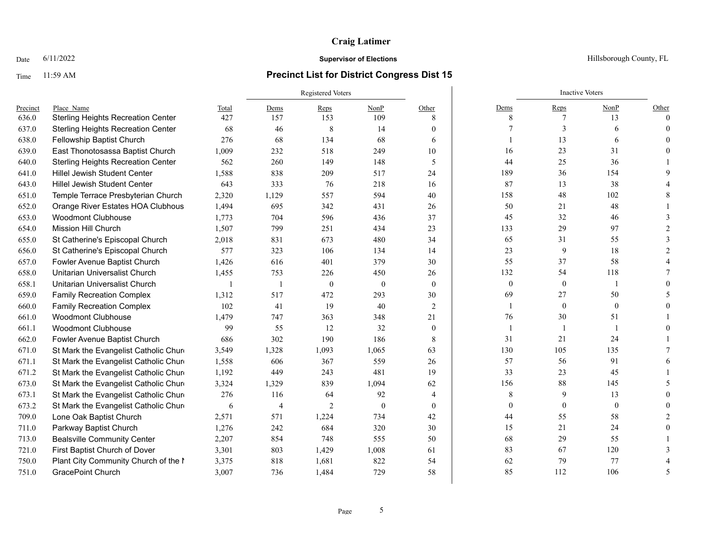## Time 11:59 AM **Precinct List for District Congress Dist 15**

|          |                                           |       | <b>Registered Voters</b> |                |                |                  |                  | <b>Inactive Voters</b> |                  |          |
|----------|-------------------------------------------|-------|--------------------------|----------------|----------------|------------------|------------------|------------------------|------------------|----------|
| Precinct | Place Name                                | Total | Dems                     | Reps           | NonP           | Other            | Dems             | Reps                   | NonP             | Other    |
| 636.0    | <b>Sterling Heights Recreation Center</b> | 427   | 157                      | 153            | 109            | 8                | 8                | 7                      | 13               | $\Omega$ |
| 637.0    | <b>Sterling Heights Recreation Center</b> | 68    | 46                       | 8              | 14             | $\overline{0}$   |                  | 3                      | 6                | $\Omega$ |
| 638.0    | Fellowship Baptist Church                 | 276   | 68                       | 134            | 68             | 6                |                  | 13                     | 6                |          |
| 639.0    | East Thonotosassa Baptist Church          | 1,009 | 232                      | 518            | 249            | 10               | 16               | 23                     | 31               |          |
| 640.0    | <b>Sterling Heights Recreation Center</b> | 562   | 260                      | 149            | 148            | 5                | 44               | 25                     | 36               |          |
| 641.0    | Hillel Jewish Student Center              | 1,588 | 838                      | 209            | 517            | 24               | 189              | 36                     | 154              |          |
| 643.0    | <b>Hillel Jewish Student Center</b>       | 643   | 333                      | 76             | 218            | 16               | 87               | 13                     | 38               |          |
| 651.0    | Temple Terrace Presbyterian Church        | 2,320 | 1,129                    | 557            | 594            | 40               | 158              | 48                     | 102              |          |
| 652.0    | Orange River Estates HOA Clubhous         | 1,494 | 695                      | 342            | 431            | 26               | 50               | 21                     | 48               |          |
| 653.0    | <b>Woodmont Clubhouse</b>                 | 1,773 | 704                      | 596            | 436            | 37               | 45               | 32                     | 46               |          |
| 654.0    | Mission Hill Church                       | 1,507 | 799                      | 251            | 434            | 23               | 133              | 29                     | 97               |          |
| 655.0    | St Catherine's Episcopal Church           | 2,018 | 831                      | 673            | 480            | 34               | 65               | 31                     | 55               |          |
| 656.0    | St Catherine's Episcopal Church           | 577   | 323                      | 106            | 134            | 14               | 23               | 9                      | 18               |          |
| 657.0    | Fowler Avenue Baptist Church              | 1,426 | 616                      | 401            | 379            | 30               | 55               | 37                     | 58               |          |
| 658.0    | Unitarian Universalist Church             | 1,455 | 753                      | 226            | 450            | 26               | 132              | 54                     | 118              |          |
| 658.1    | Unitarian Universalist Church             |       | $\overline{\phantom{a}}$ | $\theta$       | $\overline{0}$ | $\theta$         | $\mathbf{0}$     | $\mathbf{0}$           |                  |          |
| 659.0    | <b>Family Recreation Complex</b>          | 1,312 | 517                      | 472            | 293            | 30               | 69               | 27                     | 50               |          |
| 660.0    | <b>Family Recreation Complex</b>          | 102   | 41                       | 19             | 40             | 2                |                  | $\mathbf{0}$           | $\mathbf{0}$     |          |
| 661.0    | <b>Woodmont Clubhouse</b>                 | 1,479 | 747                      | 363            | 348            | 21               | 76               | 30                     | 51               |          |
| 661.1    | <b>Woodmont Clubhouse</b>                 | 99    | 55                       | 12             | 32             | $\boldsymbol{0}$ | 1                |                        |                  |          |
| 662.0    | Fowler Avenue Baptist Church              | 686   | 302                      | 190            | 186            | 8                | 31               | 21                     | 24               |          |
| 671.0    | St Mark the Evangelist Catholic Chure     | 3,549 | 1,328                    | 1,093          | 1,065          | 63               | 130              | 105                    | 135              |          |
| 671.1    | St Mark the Evangelist Catholic Chure     | 1,558 | 606                      | 367            | 559            | 26               | 57               | 56                     | 91               |          |
| 671.2    | St Mark the Evangelist Catholic Chure     | 1,192 | 449                      | 243            | 481            | 19               | 33               | 23                     | 45               |          |
| 673.0    | St Mark the Evangelist Catholic Chure     | 3,324 | 1,329                    | 839            | 1,094          | 62               | 156              | 88                     | 145              |          |
| 673.1    | St Mark the Evangelist Catholic Chure     | 276   | 116                      | 64             | 92             | 4                | 8                | 9                      | 13               |          |
| 673.2    | St Mark the Evangelist Catholic Chure     | 6     | 4                        | $\overline{2}$ | $\theta$       | $\boldsymbol{0}$ | $\boldsymbol{0}$ | $\mathbf{0}$           | $\boldsymbol{0}$ |          |
| 709.0    | Lone Oak Baptist Church                   | 2,571 | 571                      | 1,224          | 734            | 42               | 44               | 55                     | 58               |          |
| 711.0    | Parkway Baptist Church                    | 1,276 | 242                      | 684            | 320            | 30               | 15               | 21                     | 24               |          |
| 713.0    | <b>Bealsville Community Center</b>        | 2,207 | 854                      | 748            | 555            | 50               | 68               | 29                     | 55               |          |
| 721.0    | First Baptist Church of Dover             | 3,301 | 803                      | 1,429          | 1,008          | 61               | 83               | 67                     | 120              |          |
| 750.0    | Plant City Community Church of the I      | 3,375 | 818                      | 1,681          | 822            | 54               | 62               | 79                     | 77               |          |
| 751.0    | <b>GracePoint Church</b>                  | 3,007 | 736                      | 1,484          | 729            | 58               | 85               | 112                    | 106              |          |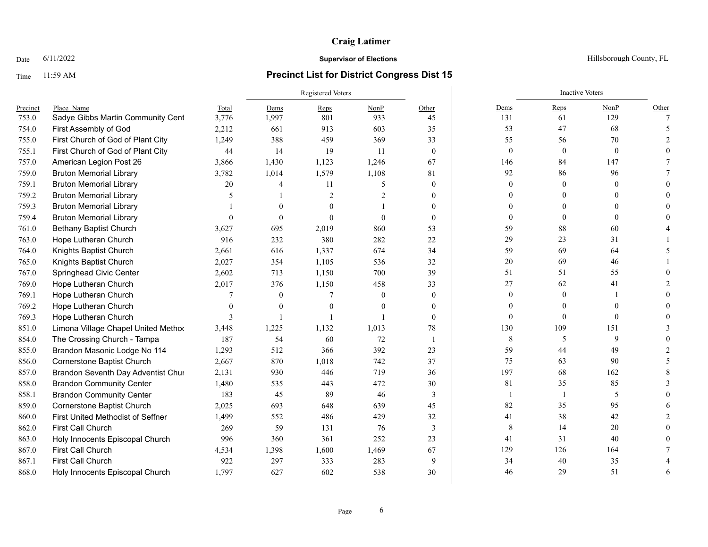# Time 11:59 AM **Precinct List for District Congress Dist 15**

|          |                                     |              | Registered Voters |                |                |              | <b>Inactive Voters</b> |                  |                  |                |
|----------|-------------------------------------|--------------|-------------------|----------------|----------------|--------------|------------------------|------------------|------------------|----------------|
| Precinct | Place Name                          | Total        | Dems              | Reps           | NonP           | Other        | Dems                   | Reps             | NonP             | Other          |
| 753.0    | Sadye Gibbs Martin Community Cent   | 3,776        | 1,997             | 801            | 933            | 45           | 131                    | 61               | 129              | $\overline{7}$ |
| 754.0    | First Assembly of God               | 2,212        | 661               | 913            | 603            | 35           | 53                     | 47               | 68               |                |
| 755.0    | First Church of God of Plant City   | 1,249        | 388               | 459            | 369            | 33           | 55                     | 56               | 70               |                |
| 755.1    | First Church of God of Plant City   | 44           | 14                | 19             | <sup>11</sup>  | $\mathbf{0}$ | $\boldsymbol{0}$       | $\boldsymbol{0}$ | $\boldsymbol{0}$ |                |
| 757.0    | American Legion Post 26             | 3,866        | 1,430             | 1,123          | 1,246          | 67           | 146                    | 84               | 147              |                |
| 759.0    | <b>Bruton Memorial Library</b>      | 3,782        | 1,014             | 1,579          | 1,108          | 81           | 92                     | 86               | 96               |                |
| 759.1    | <b>Bruton Memorial Library</b>      | 20           | 4                 | 11             | 5              | $\theta$     | $\theta$               | $\mathbf{0}$     | $\mathbf{0}$     |                |
| 759.2    | <b>Bruton Memorial Library</b>      | 5            |                   | $\overline{2}$ | $\overline{2}$ | $\Omega$     | 0                      | $\Omega$         | $\Omega$         |                |
| 759.3    | <b>Bruton Memorial Library</b>      |              | $\theta$          | $\theta$       |                | $\Omega$     | 0                      | $\Omega$         | $\Omega$         |                |
| 759.4    | <b>Bruton Memorial Library</b>      | $\Omega$     | $\Omega$          | $\Omega$       | $\theta$       | $\theta$     | $\theta$               | $\theta$         | $\theta$         |                |
| 761.0    | <b>Bethany Baptist Church</b>       | 3,627        | 695               | 2,019          | 860            | 53           | 59                     | 88               | 60               |                |
| 763.0    | Hope Lutheran Church                | 916          | 232               | 380            | 282            | 22           | 29                     | 23               | 31               |                |
| 764.0    | Knights Baptist Church              | 2,661        | 616               | 1,337          | 674            | 34           | 59                     | 69               | 64               |                |
| 765.0    | Knights Baptist Church              | 2,027        | 354               | 1,105          | 536            | 32           | $20\,$                 | 69               | 46               |                |
| 767.0    | Springhead Civic Center             | 2,602        | 713               | 1,150          | 700            | 39           | 51                     | 51               | 55               |                |
| 769.0    | Hope Lutheran Church                | 2,017        | 376               | 1,150          | 458            | 33           | 27                     | 62               | 41               |                |
| 769.1    | Hope Lutheran Church                | 7            | $\theta$          | 7              | $\theta$       | $\theta$     | $\theta$               | $\mathbf{0}$     |                  |                |
| 769.2    | Hope Lutheran Church                | $\Omega$     | $\theta$          | $\Omega$       | $\Omega$       | $\Omega$     | $\theta$               | $\Omega$         | $\Omega$         |                |
| 769.3    | Hope Lutheran Church                | $\mathbf{3}$ |                   |                |                | $\theta$     | $\theta$               | $\mathbf{0}$     | $\theta$         |                |
| 851.0    | Limona Village Chapel United Method | 3,448        | 1,225             | 1,132          | 1,013          | 78           | 130                    | 109              | 151              |                |
| 854.0    | The Crossing Church - Tampa         | 187          | 54                | 60             | 72             | $\mathbf{1}$ | 8                      | 5                | 9                |                |
| 855.0    | Brandon Masonic Lodge No 114        | 1,293        | 512               | 366            | 392            | 23           | 59                     | 44               | 49               |                |
| 856.0    | <b>Cornerstone Baptist Church</b>   | 2,667        | 870               | 1,018          | 742            | 37           | 75                     | 63               | 90               |                |
| 857.0    | Brandon Seventh Day Adventist Chur  | 2,131        | 930               | 446            | 719            | 36           | 197                    | 68               | 162              |                |
| 858.0    | <b>Brandon Community Center</b>     | 1,480        | 535               | 443            | 472            | 30           | 81                     | 35               | 85               |                |
| 858.1    | <b>Brandon Community Center</b>     | 183          | 45                | 89             | 46             | 3            | -1                     | 1                | 5                |                |
| 859.0    | Cornerstone Baptist Church          | 2,025        | 693               | 648            | 639            | 45           | 82                     | 35               | 95               |                |
| 860.0    | First United Methodist of Seffner   | 1,499        | 552               | 486            | 429            | 32           | 41                     | 38               | 42               |                |
| 862.0    | First Call Church                   | 269          | 59                | 131            | 76             | 3            | 8                      | 14               | 20               |                |
| 863.0    | Holy Innocents Episcopal Church     | 996          | 360               | 361            | 252            | 23           | 41                     | 31               | 40               |                |
| 867.0    | First Call Church                   | 4,534        | 1,398             | 1,600          | 1,469          | 67           | 129                    | 126              | 164              |                |
| 867.1    | First Call Church                   | 922          | 297               | 333            | 283            | 9            | 34                     | 40               | 35               |                |
| 868.0    | Holy Innocents Episcopal Church     | 1.797        | 627               | 602            | 538            | 30           | 46                     | 29               | 51               | 6              |